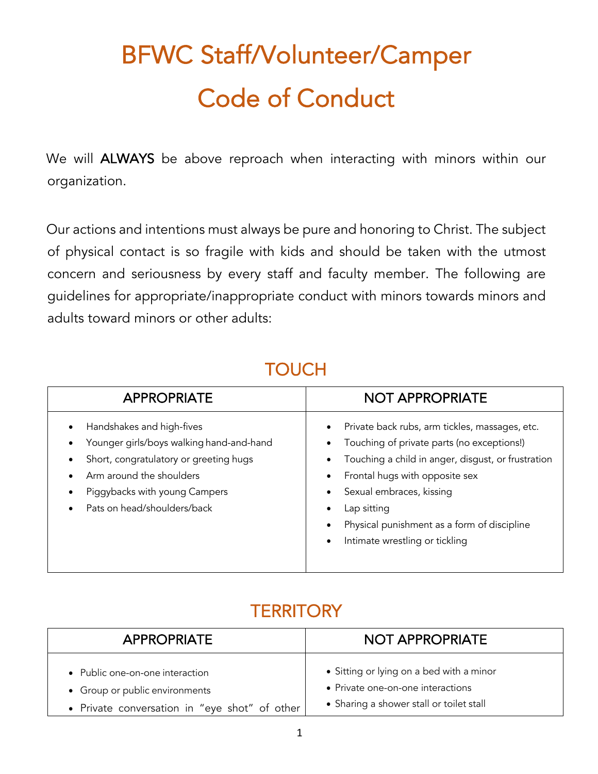# BFWC Staff/Volunteer/Camper Code of Conduct

We will ALWAYS be above reproach when interacting with minors within our organization.

Our actions and intentions must always be pure and honoring to Christ. The subject of physical contact is so fragile with kids and should be taken with the utmost concern and seriousness by every staff and faculty member. The following are guidelines for appropriate/inappropriate conduct with minors towards minors and adults toward minors or other adults:

## **TOUCH**

| <b>APPROPRIATE</b>                                                                                                                                                                                                                                              | <b>NOT APPROPRIATE</b>                                                                                                                                                                                                                                                                                           |
|-----------------------------------------------------------------------------------------------------------------------------------------------------------------------------------------------------------------------------------------------------------------|------------------------------------------------------------------------------------------------------------------------------------------------------------------------------------------------------------------------------------------------------------------------------------------------------------------|
| Handshakes and high-fives<br>$\bullet$<br>Younger girls/boys walking hand-and-hand<br>$\bullet$<br>Short, congratulatory or greeting hugs<br>Arm around the shoulders<br>$\bullet$<br>Piggybacks with young Campers<br>Pats on head/shoulders/back<br>$\bullet$ | Private back rubs, arm tickles, massages, etc.<br>Touching of private parts (no exceptions!)<br>Touching a child in anger, disgust, or frustration<br>Frontal hugs with opposite sex<br>Sexual embraces, kissing<br>Lap sitting<br>Physical punishment as a form of discipline<br>Intimate wrestling or tickling |

### **TERRITORY**

| <b>APPROPRIATE</b>                                                | <b>NOT APPROPRIATE</b>                                                        |
|-------------------------------------------------------------------|-------------------------------------------------------------------------------|
| • Public one-on-one interaction<br>• Group or public environments | • Sitting or lying on a bed with a minor<br>• Private one-on-one interactions |
| • Private conversation in "eye shot" of other                     | • Sharing a shower stall or toilet stall                                      |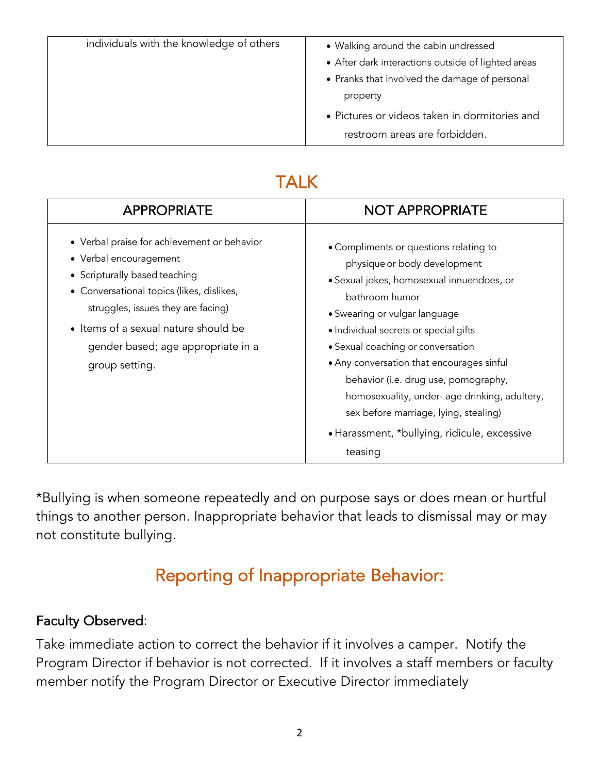| individuals with the knowledge of others | • Walking around the cabin undressed               |
|------------------------------------------|----------------------------------------------------|
|                                          | • After dark interactions outside of lighted areas |
|                                          | • Pranks that involved the damage of personal      |
|                                          | property                                           |
|                                          | • Pictures or videos taken in dormitories and      |
|                                          | restroom areas are forbidden.                      |

## TALK

| <b>APPROPRIATE</b>                                                                                                                                                                                                                                                                        | <b>NOT APPROPRIATE</b>                                                                                                                                                                                                                                                                                                                                                                                                                                                                          |
|-------------------------------------------------------------------------------------------------------------------------------------------------------------------------------------------------------------------------------------------------------------------------------------------|-------------------------------------------------------------------------------------------------------------------------------------------------------------------------------------------------------------------------------------------------------------------------------------------------------------------------------------------------------------------------------------------------------------------------------------------------------------------------------------------------|
| • Verbal praise for achievement or behavior<br>• Verbal encouragement<br>• Scripturally based teaching<br>• Conversational topics (likes, dislikes,<br>struggles, issues they are facing)<br>• Items of a sexual nature should be<br>gender based; age appropriate in a<br>group setting. | • Compliments or questions relating to<br>physique or body development<br>· Sexual jokes, homosexual innuendoes, or<br>bathroom humor<br>• Swearing or vulgar language<br>• Individual secrets or special gifts<br>· Sexual coaching or conversation<br>• Any conversation that encourages sinful<br>behavior (i.e. drug use, pornography,<br>homosexuality, under- age drinking, adultery,<br>sex before marriage, lying, stealing)<br>· Harassment, *bullying, ridicule, excessive<br>teasing |

\*Bullying is when someone repeatedly and on purpose says or does mean or hurtful things to another person. Inappropriate behavior that leads to dismissal may or may not constitute bullying.

## Reporting of Inappropriate Behavior:

#### Faculty Observed:

Take immediate action to correct the behavior if it involves a camper. Notify the Program Director if behavior is not corrected. If it involves a staff members or faculty member notify the Program Director or Executive Director immediately